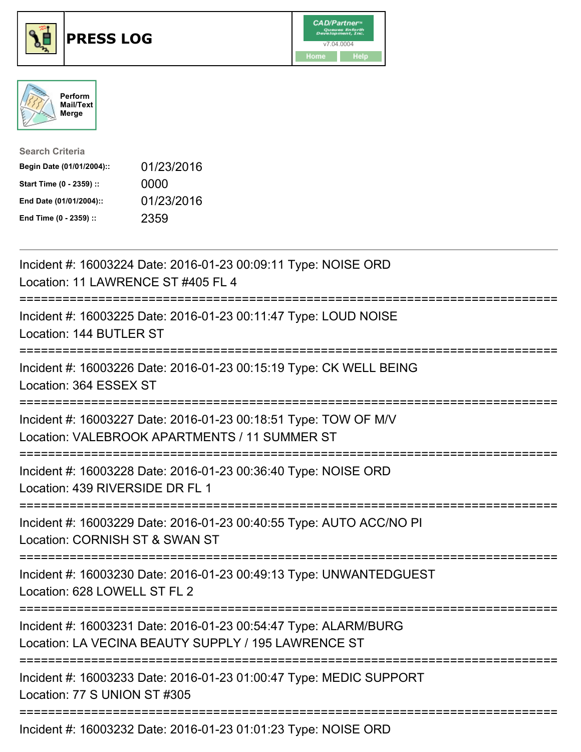





| <b>Search Criteria</b>    |            |
|---------------------------|------------|
| Begin Date (01/01/2004):: | 01/23/2016 |
| Start Time (0 - 2359) ::  | 0000       |
| End Date (01/01/2004)::   | 01/23/2016 |
| End Time (0 - 2359) ::    | 2359       |

| Incident #: 16003224 Date: 2016-01-23 00:09:11 Type: NOISE ORD<br>Location: 11 LAWRENCE ST #405 FL 4                                 |
|--------------------------------------------------------------------------------------------------------------------------------------|
| Incident #: 16003225 Date: 2016-01-23 00:11:47 Type: LOUD NOISE<br>Location: 144 BUTLER ST                                           |
| Incident #: 16003226 Date: 2016-01-23 00:15:19 Type: CK WELL BEING<br>Location: 364 ESSEX ST                                         |
| Incident #: 16003227 Date: 2016-01-23 00:18:51 Type: TOW OF M/V<br>Location: VALEBROOK APARTMENTS / 11 SUMMER ST                     |
| Incident #: 16003228 Date: 2016-01-23 00:36:40 Type: NOISE ORD<br>Location: 439 RIVERSIDE DR FL 1<br>;============================== |
| Incident #: 16003229 Date: 2016-01-23 00:40:55 Type: AUTO ACC/NO PI<br>Location: CORNISH ST & SWAN ST                                |
| Incident #: 16003230 Date: 2016-01-23 00:49:13 Type: UNWANTEDGUEST<br>Location: 628 LOWELL ST FL 2<br>==============                 |
| Incident #: 16003231 Date: 2016-01-23 00:54:47 Type: ALARM/BURG<br>Location: LA VECINA BEAUTY SUPPLY / 195 LAWRENCE ST               |
| Incident #: 16003233 Date: 2016-01-23 01:00:47 Type: MEDIC SUPPORT<br>Location: 77 S UNION ST #305                                   |
|                                                                                                                                      |

Incident #: 16003232 Date: 2016-01-23 01:01:23 Type: NOISE ORD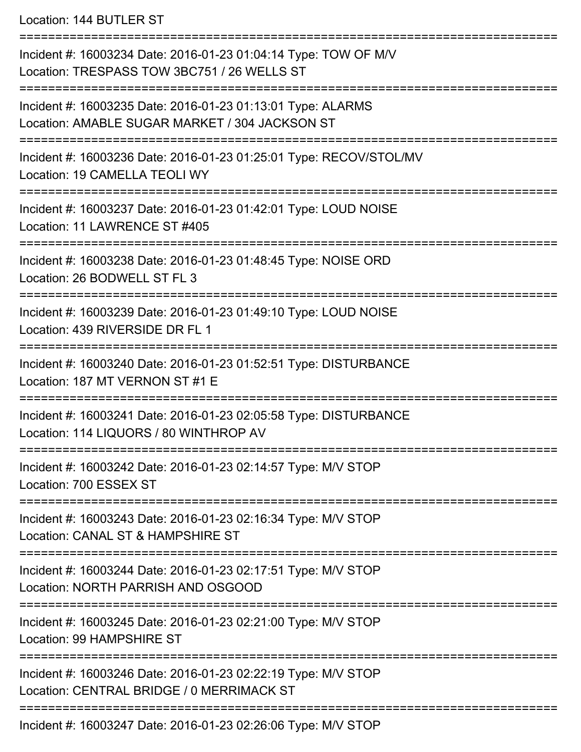Location: 144 BUTLER ST

=========================================================================== Incident #: 16003234 Date: 2016-01-23 01:04:14 Type: TOW OF M/V Location: TRESPASS TOW 3BC751 / 26 WELLS ST =========================================================================== Incident #: 16003235 Date: 2016-01-23 01:13:01 Type: ALARMS Location: AMABLE SUGAR MARKET / 304 JACKSON ST =========================================================================== Incident #: 16003236 Date: 2016-01-23 01:25:01 Type: RECOV/STOL/MV Location: 19 CAMELLA TEOLI WY =========================================================================== Incident #: 16003237 Date: 2016-01-23 01:42:01 Type: LOUD NOISE Location: 11 LAWRENCE ST #405 =========================================================================== Incident #: 16003238 Date: 2016-01-23 01:48:45 Type: NOISE ORD Location: 26 BODWELL ST FL 3 =========================================================================== Incident #: 16003239 Date: 2016-01-23 01:49:10 Type: LOUD NOISE Location: 439 RIVERSIDE DR FL 1 =========================================================================== Incident #: 16003240 Date: 2016-01-23 01:52:51 Type: DISTURBANCE Location: 187 MT VERNON ST #1 E =========================================================================== Incident #: 16003241 Date: 2016-01-23 02:05:58 Type: DISTURBANCE Location: 114 LIQUORS / 80 WINTHROP AV =========================================================================== Incident #: 16003242 Date: 2016-01-23 02:14:57 Type: M/V STOP Location: 700 ESSEX ST =========================================================================== Incident #: 16003243 Date: 2016-01-23 02:16:34 Type: M/V STOP Location: CANAL ST & HAMPSHIRE ST =========================================================================== Incident #: 16003244 Date: 2016-01-23 02:17:51 Type: M/V STOP Location: NORTH PARRISH AND OSGOOD =========================================================================== Incident #: 16003245 Date: 2016-01-23 02:21:00 Type: M/V STOP Location: 99 HAMPSHIRE ST =========================================================================== Incident #: 16003246 Date: 2016-01-23 02:22:19 Type: M/V STOP Location: CENTRAL BRIDGE / 0 MERRIMACK ST =========================================================================== Incident #: 16003247 Date: 2016-01-23 02:26:06 Type: M/V STOP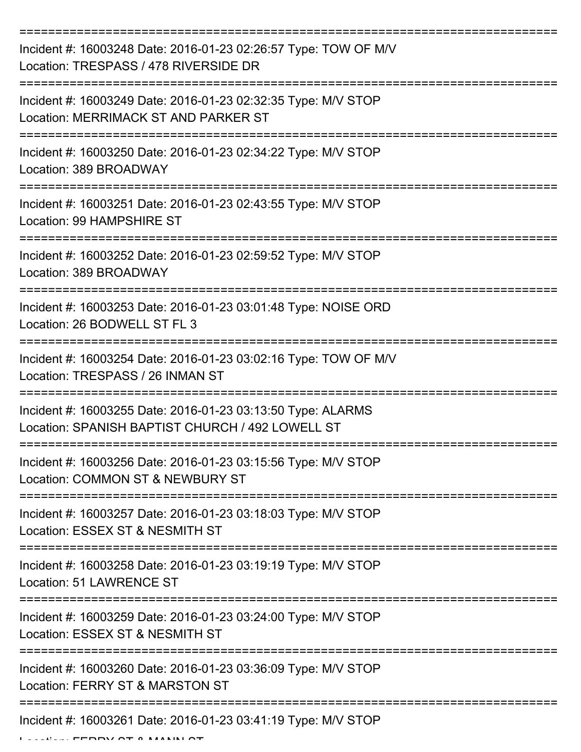| Incident #: 16003248 Date: 2016-01-23 02:26:57 Type: TOW OF M/V<br>Location: TRESPASS / 478 RIVERSIDE DR        |
|-----------------------------------------------------------------------------------------------------------------|
| Incident #: 16003249 Date: 2016-01-23 02:32:35 Type: M/V STOP<br>Location: MERRIMACK ST AND PARKER ST           |
| Incident #: 16003250 Date: 2016-01-23 02:34:22 Type: M/V STOP<br>Location: 389 BROADWAY                         |
| Incident #: 16003251 Date: 2016-01-23 02:43:55 Type: M/V STOP<br>Location: 99 HAMPSHIRE ST                      |
| Incident #: 16003252 Date: 2016-01-23 02:59:52 Type: M/V STOP<br>Location: 389 BROADWAY                         |
| Incident #: 16003253 Date: 2016-01-23 03:01:48 Type: NOISE ORD<br>Location: 26 BODWELL ST FL 3                  |
| Incident #: 16003254 Date: 2016-01-23 03:02:16 Type: TOW OF M/V<br>Location: TRESPASS / 26 INMAN ST             |
| Incident #: 16003255 Date: 2016-01-23 03:13:50 Type: ALARMS<br>Location: SPANISH BAPTIST CHURCH / 492 LOWELL ST |
| Incident #: 16003256 Date: 2016-01-23 03:15:56 Type: M/V STOP<br>Location: COMMON ST & NEWBURY ST               |
| Incident #: 16003257 Date: 2016-01-23 03:18:03 Type: M/V STOP<br>Location: ESSEX ST & NESMITH ST                |
| Incident #: 16003258 Date: 2016-01-23 03:19:19 Type: M/V STOP<br><b>Location: 51 LAWRENCE ST</b>                |
| Incident #: 16003259 Date: 2016-01-23 03:24:00 Type: M/V STOP<br>Location: ESSEX ST & NESMITH ST                |
| Incident #: 16003260 Date: 2016-01-23 03:36:09 Type: M/V STOP<br>Location: FERRY ST & MARSTON ST                |
| Incident #: 16003261 Date: 2016-01-23 03:41:19 Type: M/V STOP                                                   |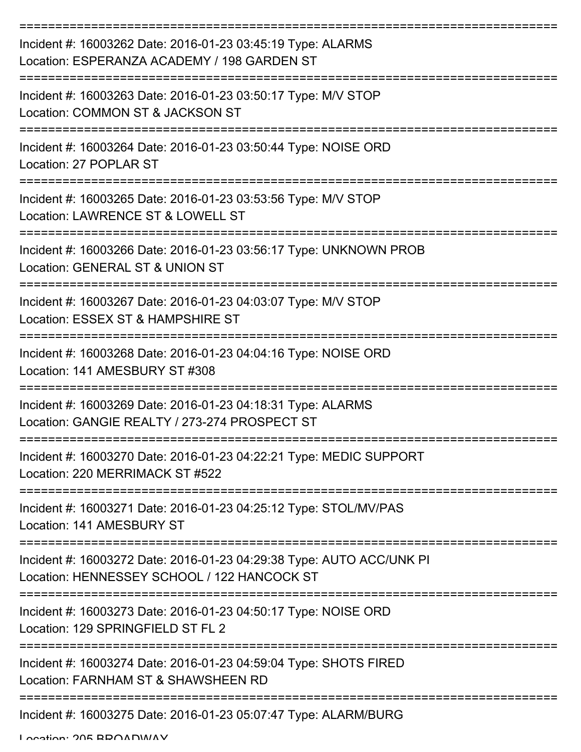| Incident #: 16003262 Date: 2016-01-23 03:45:19 Type: ALARMS<br>Location: ESPERANZA ACADEMY / 198 GARDEN ST          |
|---------------------------------------------------------------------------------------------------------------------|
| Incident #: 16003263 Date: 2016-01-23 03:50:17 Type: M/V STOP<br>Location: COMMON ST & JACKSON ST                   |
| Incident #: 16003264 Date: 2016-01-23 03:50:44 Type: NOISE ORD<br>Location: 27 POPLAR ST                            |
| Incident #: 16003265 Date: 2016-01-23 03:53:56 Type: M/V STOP<br>Location: LAWRENCE ST & LOWELL ST                  |
| Incident #: 16003266 Date: 2016-01-23 03:56:17 Type: UNKNOWN PROB<br>Location: GENERAL ST & UNION ST                |
| Incident #: 16003267 Date: 2016-01-23 04:03:07 Type: M/V STOP<br>Location: ESSEX ST & HAMPSHIRE ST                  |
| Incident #: 16003268 Date: 2016-01-23 04:04:16 Type: NOISE ORD<br>Location: 141 AMESBURY ST #308                    |
| Incident #: 16003269 Date: 2016-01-23 04:18:31 Type: ALARMS<br>Location: GANGIE REALTY / 273-274 PROSPECT ST        |
| Incident #: 16003270 Date: 2016-01-23 04:22:21 Type: MEDIC SUPPORT<br>Location: 220 MERRIMACK ST #522               |
| Incident #: 16003271 Date: 2016-01-23 04:25:12 Type: STOL/MV/PAS<br>Location: 141 AMESBURY ST                       |
| Incident #: 16003272 Date: 2016-01-23 04:29:38 Type: AUTO ACC/UNK PI<br>Location: HENNESSEY SCHOOL / 122 HANCOCK ST |
| Incident #: 16003273 Date: 2016-01-23 04:50:17 Type: NOISE ORD<br>Location: 129 SPRINGFIELD ST FL 2                 |
| Incident #: 16003274 Date: 2016-01-23 04:59:04 Type: SHOTS FIRED<br>Location: FARNHAM ST & SHAWSHEEN RD             |
| Incident #: 16003275 Date: 2016-01-23 05:07:47 Type: ALARM/BURG                                                     |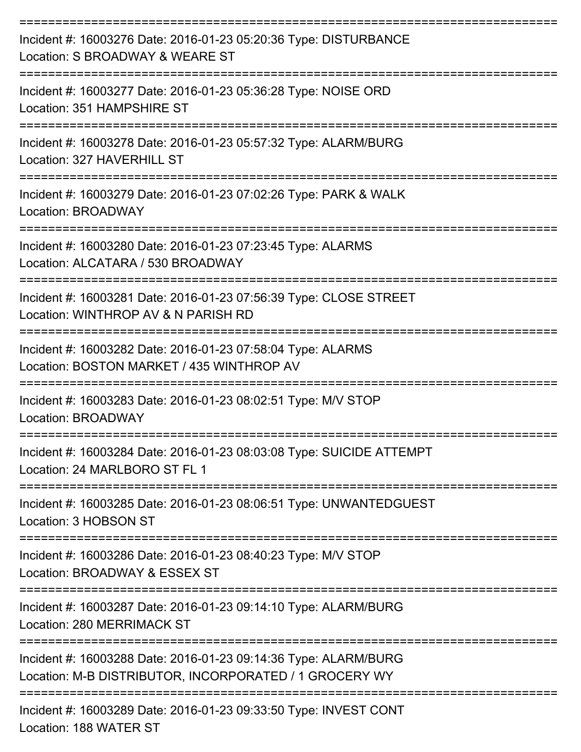| Incident #: 16003276 Date: 2016-01-23 05:20:36 Type: DISTURBANCE<br>Location: S BROADWAY & WEARE ST<br>:========================== |
|------------------------------------------------------------------------------------------------------------------------------------|
| Incident #: 16003277 Date: 2016-01-23 05:36:28 Type: NOISE ORD<br>Location: 351 HAMPSHIRE ST                                       |
| Incident #: 16003278 Date: 2016-01-23 05:57:32 Type: ALARM/BURG<br>Location: 327 HAVERHILL ST                                      |
| Incident #: 16003279 Date: 2016-01-23 07:02:26 Type: PARK & WALK<br>Location: BROADWAY                                             |
| ====================<br>Incident #: 16003280 Date: 2016-01-23 07:23:45 Type: ALARMS<br>Location: ALCATARA / 530 BROADWAY           |
| Incident #: 16003281 Date: 2016-01-23 07:56:39 Type: CLOSE STREET<br>Location: WINTHROP AV & N PARISH RD                           |
| Incident #: 16003282 Date: 2016-01-23 07:58:04 Type: ALARMS<br>Location: BOSTON MARKET / 435 WINTHROP AV                           |
| Incident #: 16003283 Date: 2016-01-23 08:02:51 Type: M/V STOP<br>Location: BROADWAY                                                |
| Incident #: 16003284 Date: 2016-01-23 08:03:08 Type: SUICIDE ATTEMPT<br>Location: 24 MARLBORO ST FL 1                              |
| Incident #: 16003285 Date: 2016-01-23 08:06:51 Type: UNWANTEDGUEST<br>Location: 3 HOBSON ST                                        |
| Incident #: 16003286 Date: 2016-01-23 08:40:23 Type: M/V STOP<br>Location: BROADWAY & ESSEX ST                                     |
| Incident #: 16003287 Date: 2016-01-23 09:14:10 Type: ALARM/BURG<br>Location: 280 MERRIMACK ST                                      |
| Incident #: 16003288 Date: 2016-01-23 09:14:36 Type: ALARM/BURG<br>Location: M-B DISTRIBUTOR, INCORPORATED / 1 GROCERY WY          |
| Incident #: 16003289 Date: 2016-01-23 09:33:50 Type: INVEST CONT<br>Location: 188 WATER ST                                         |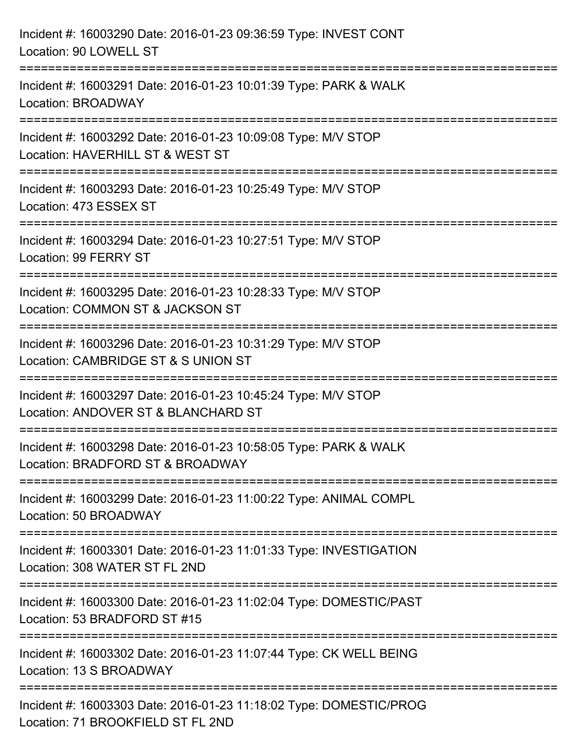| Incident #: 16003290 Date: 2016-01-23 09:36:59 Type: INVEST CONT<br>Location: 90 LOWELL ST                                   |
|------------------------------------------------------------------------------------------------------------------------------|
| Incident #: 16003291 Date: 2016-01-23 10:01:39 Type: PARK & WALK<br>Location: BROADWAY                                       |
| ----------<br>Incident #: 16003292 Date: 2016-01-23 10:09:08 Type: M/V STOP<br>Location: HAVERHILL ST & WEST ST              |
| Incident #: 16003293 Date: 2016-01-23 10:25:49 Type: M/V STOP<br>Location: 473 ESSEX ST                                      |
| Incident #: 16003294 Date: 2016-01-23 10:27:51 Type: M/V STOP<br>Location: 99 FERRY ST                                       |
| Incident #: 16003295 Date: 2016-01-23 10:28:33 Type: M/V STOP<br>Location: COMMON ST & JACKSON ST                            |
| --------------------<br>Incident #: 16003296 Date: 2016-01-23 10:31:29 Type: M/V STOP<br>Location: CAMBRIDGE ST & S UNION ST |
| Incident #: 16003297 Date: 2016-01-23 10:45:24 Type: M/V STOP<br>Location: ANDOVER ST & BLANCHARD ST                         |
| Incident #: 16003298 Date: 2016-01-23 10:58:05 Type: PARK & WALK<br>Location: BRADFORD ST & BROADWAY                         |
| Incident #: 16003299 Date: 2016-01-23 11:00:22 Type: ANIMAL COMPL<br>Location: 50 BROADWAY                                   |
| Incident #: 16003301 Date: 2016-01-23 11:01:33 Type: INVESTIGATION<br>Location: 308 WATER ST FL 2ND                          |
| Incident #: 16003300 Date: 2016-01-23 11:02:04 Type: DOMESTIC/PAST<br>Location: 53 BRADFORD ST #15                           |
| Incident #: 16003302 Date: 2016-01-23 11:07:44 Type: CK WELL BEING<br>Location: 13 S BROADWAY                                |
| Incident #: 16003303 Date: 2016-01-23 11:18:02 Type: DOMESTIC/PROG<br>Location: 71 BROOKFIELD ST FL 2ND                      |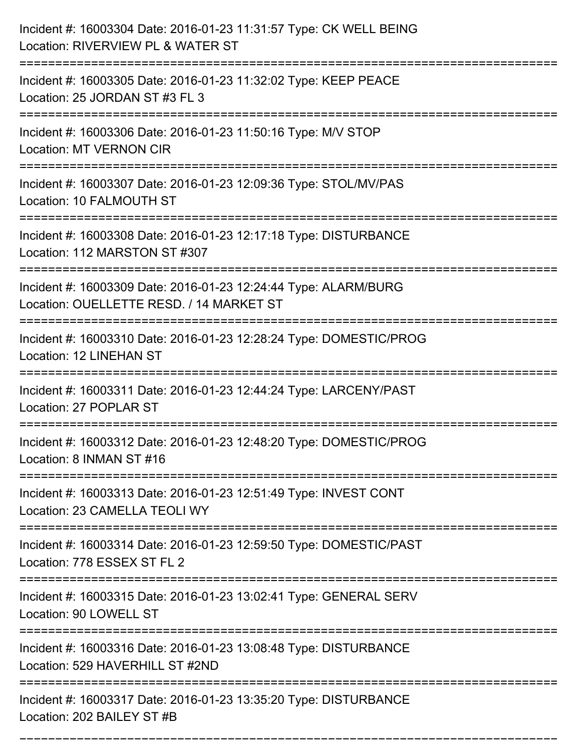| Incident #: 16003304 Date: 2016-01-23 11:31:57 Type: CK WELL BEING<br>Location: RIVERVIEW PL & WATER ST     |
|-------------------------------------------------------------------------------------------------------------|
| Incident #: 16003305 Date: 2016-01-23 11:32:02 Type: KEEP PEACE<br>Location: 25 JORDAN ST #3 FL 3           |
| Incident #: 16003306 Date: 2016-01-23 11:50:16 Type: M/V STOP<br><b>Location: MT VERNON CIR</b>             |
| Incident #: 16003307 Date: 2016-01-23 12:09:36 Type: STOL/MV/PAS<br>Location: 10 FALMOUTH ST                |
| Incident #: 16003308 Date: 2016-01-23 12:17:18 Type: DISTURBANCE<br>Location: 112 MARSTON ST #307           |
| Incident #: 16003309 Date: 2016-01-23 12:24:44 Type: ALARM/BURG<br>Location: OUELLETTE RESD. / 14 MARKET ST |
| Incident #: 16003310 Date: 2016-01-23 12:28:24 Type: DOMESTIC/PROG<br><b>Location: 12 LINEHAN ST</b>        |
| Incident #: 16003311 Date: 2016-01-23 12:44:24 Type: LARCENY/PAST<br>Location: 27 POPLAR ST                 |
| Incident #: 16003312 Date: 2016-01-23 12:48:20 Type: DOMESTIC/PROG<br>Location: 8 INMAN ST #16              |
| Incident #: 16003313 Date: 2016-01-23 12:51:49 Type: INVEST CONT<br>Location: 23 CAMELLA TEOLI WY           |
| Incident #: 16003314 Date: 2016-01-23 12:59:50 Type: DOMESTIC/PAST<br>Location: 778 ESSEX ST FL 2           |
| Incident #: 16003315 Date: 2016-01-23 13:02:41 Type: GENERAL SERV<br>Location: 90 LOWELL ST                 |
| Incident #: 16003316 Date: 2016-01-23 13:08:48 Type: DISTURBANCE<br>Location: 529 HAVERHILL ST #2ND         |
| Incident #: 16003317 Date: 2016-01-23 13:35:20 Type: DISTURBANCE<br>Location: 202 BAILEY ST #B              |

===========================================================================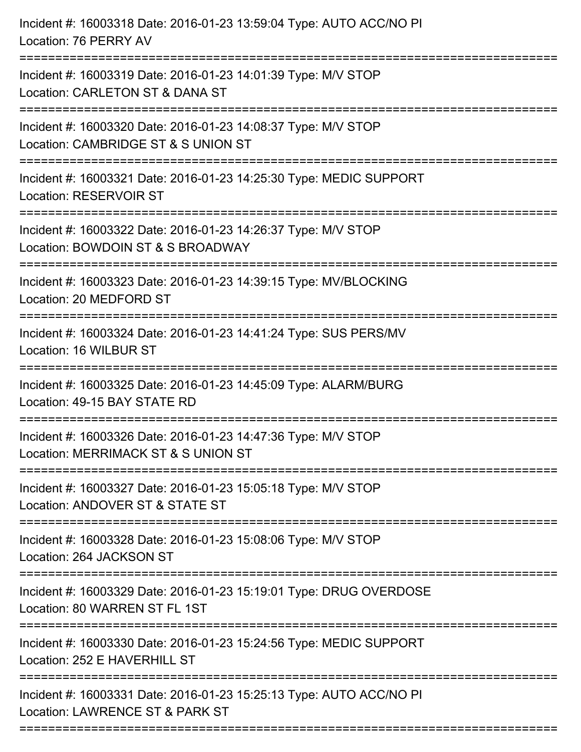| Incident #: 16003318 Date: 2016-01-23 13:59:04 Type: AUTO ACC/NO PI<br>Location: 76 PERRY AV                                  |
|-------------------------------------------------------------------------------------------------------------------------------|
| Incident #: 16003319 Date: 2016-01-23 14:01:39 Type: M/V STOP<br>Location: CARLETON ST & DANA ST                              |
| Incident #: 16003320 Date: 2016-01-23 14:08:37 Type: M/V STOP<br>Location: CAMBRIDGE ST & S UNION ST<br>===================== |
| Incident #: 16003321 Date: 2016-01-23 14:25:30 Type: MEDIC SUPPORT<br><b>Location: RESERVOIR ST</b>                           |
| Incident #: 16003322 Date: 2016-01-23 14:26:37 Type: M/V STOP<br>Location: BOWDOIN ST & S BROADWAY                            |
| Incident #: 16003323 Date: 2016-01-23 14:39:15 Type: MV/BLOCKING<br>Location: 20 MEDFORD ST                                   |
| Incident #: 16003324 Date: 2016-01-23 14:41:24 Type: SUS PERS/MV<br>Location: 16 WILBUR ST                                    |
| Incident #: 16003325 Date: 2016-01-23 14:45:09 Type: ALARM/BURG<br>Location: 49-15 BAY STATE RD                               |
| Incident #: 16003326 Date: 2016-01-23 14:47:36 Type: M/V STOP<br>Location: MERRIMACK ST & S UNION ST                          |
| Incident #: 16003327 Date: 2016-01-23 15:05:18 Type: M/V STOP<br>Location: ANDOVER ST & STATE ST                              |
| Incident #: 16003328 Date: 2016-01-23 15:08:06 Type: M/V STOP<br>Location: 264 JACKSON ST                                     |
| Incident #: 16003329 Date: 2016-01-23 15:19:01 Type: DRUG OVERDOSE<br>Location: 80 WARREN ST FL 1ST                           |
| Incident #: 16003330 Date: 2016-01-23 15:24:56 Type: MEDIC SUPPORT<br>Location: 252 E HAVERHILL ST                            |
| Incident #: 16003331 Date: 2016-01-23 15:25:13 Type: AUTO ACC/NO PI<br>Location: LAWRENCE ST & PARK ST                        |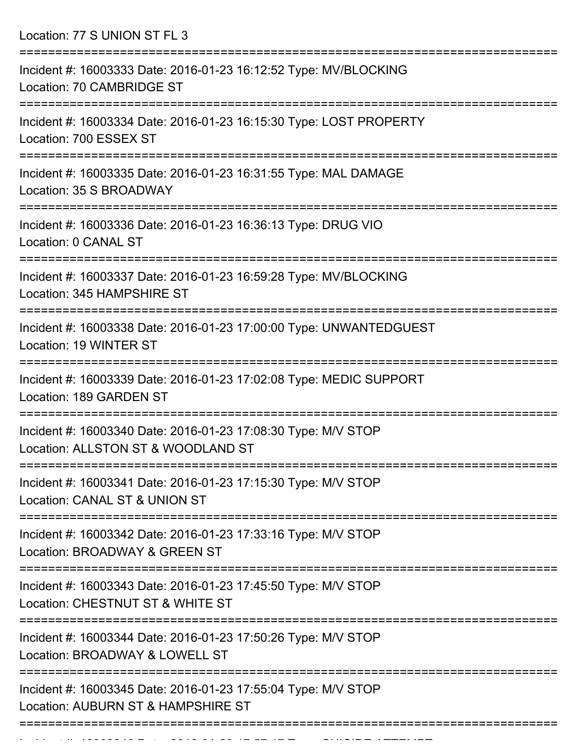Location: 77 S UNION ST FL 3

| Incident #: 16003333 Date: 2016-01-23 16:12:52 Type: MV/BLOCKING<br>Location: 70 CAMBRIDGE ST                           |
|-------------------------------------------------------------------------------------------------------------------------|
| Incident #: 16003334 Date: 2016-01-23 16:15:30 Type: LOST PROPERTY<br>Location: 700 ESSEX ST                            |
| Incident #: 16003335 Date: 2016-01-23 16:31:55 Type: MAL DAMAGE<br>Location: 35 S BROADWAY                              |
| Incident #: 16003336 Date: 2016-01-23 16:36:13 Type: DRUG VIO<br>Location: 0 CANAL ST                                   |
| Incident #: 16003337 Date: 2016-01-23 16:59:28 Type: MV/BLOCKING<br>Location: 345 HAMPSHIRE ST                          |
| Incident #: 16003338 Date: 2016-01-23 17:00:00 Type: UNWANTEDGUEST<br>Location: 19 WINTER ST                            |
| Incident #: 16003339 Date: 2016-01-23 17:02:08 Type: MEDIC SUPPORT<br>Location: 189 GARDEN ST                           |
| Incident #: 16003340 Date: 2016-01-23 17:08:30 Type: M/V STOP<br>Location: ALLSTON ST & WOODLAND ST                     |
| :====================<br>Incident #: 16003341 Date: 2016-01-23 17:15:30 Type: M/V STOP<br>Location: CANAL ST & UNION ST |
| Incident #: 16003342 Date: 2016-01-23 17:33:16 Type: M/V STOP<br>Location: BROADWAY & GREEN ST                          |
| Incident #: 16003343 Date: 2016-01-23 17:45:50 Type: M/V STOP<br>Location: CHESTNUT ST & WHITE ST                       |
| Incident #: 16003344 Date: 2016-01-23 17:50:26 Type: M/V STOP<br>Location: BROADWAY & LOWELL ST                         |
| Incident #: 16003345 Date: 2016-01-23 17:55:04 Type: M/V STOP<br>Location: AUBURN ST & HAMPSHIRE ST                     |
|                                                                                                                         |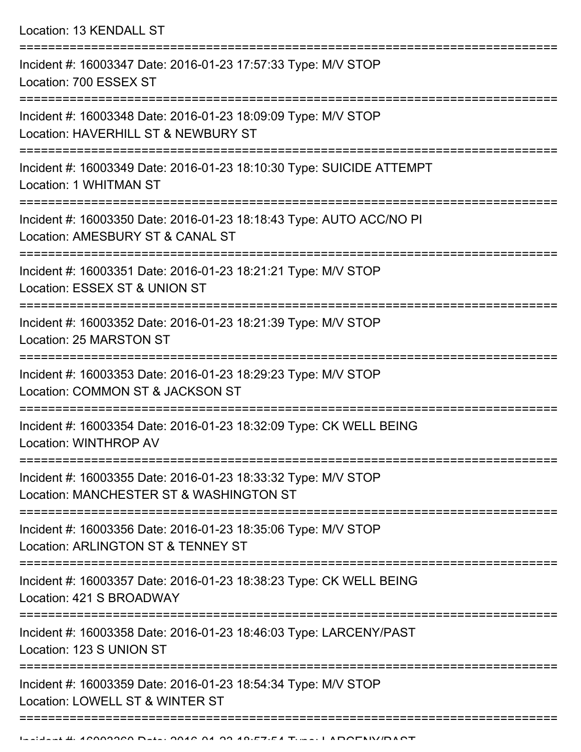|  | Location: 13 KENDALL ST |  |
|--|-------------------------|--|
|--|-------------------------|--|

| Incident #: 16003347 Date: 2016-01-23 17:57:33 Type: M/V STOP<br>Location: 700 ESSEX ST                  |
|----------------------------------------------------------------------------------------------------------|
| Incident #: 16003348 Date: 2016-01-23 18:09:09 Type: M/V STOP<br>Location: HAVERHILL ST & NEWBURY ST     |
| Incident #: 16003349 Date: 2016-01-23 18:10:30 Type: SUICIDE ATTEMPT<br><b>Location: 1 WHITMAN ST</b>    |
| Incident #: 16003350 Date: 2016-01-23 18:18:43 Type: AUTO ACC/NO PI<br>Location: AMESBURY ST & CANAL ST  |
| Incident #: 16003351 Date: 2016-01-23 18:21:21 Type: M/V STOP<br>Location: ESSEX ST & UNION ST           |
| Incident #: 16003352 Date: 2016-01-23 18:21:39 Type: M/V STOP<br>Location: 25 MARSTON ST                 |
| Incident #: 16003353 Date: 2016-01-23 18:29:23 Type: M/V STOP<br>Location: COMMON ST & JACKSON ST        |
| Incident #: 16003354 Date: 2016-01-23 18:32:09 Type: CK WELL BEING<br><b>Location: WINTHROP AV</b>       |
| Incident #: 16003355 Date: 2016-01-23 18:33:32 Type: M/V STOP<br>Location: MANCHESTER ST & WASHINGTON ST |
| Incident #: 16003356 Date: 2016-01-23 18:35:06 Type: M/V STOP<br>Location: ARLINGTON ST & TENNEY ST      |
| Incident #: 16003357 Date: 2016-01-23 18:38:23 Type: CK WELL BEING<br>Location: 421 S BROADWAY           |
| Incident #: 16003358 Date: 2016-01-23 18:46:03 Type: LARCENY/PAST<br>Location: 123 S UNION ST            |
| Incident #: 16003359 Date: 2016-01-23 18:54:34 Type: M/V STOP<br>Location: LOWELL ST & WINTER ST         |
|                                                                                                          |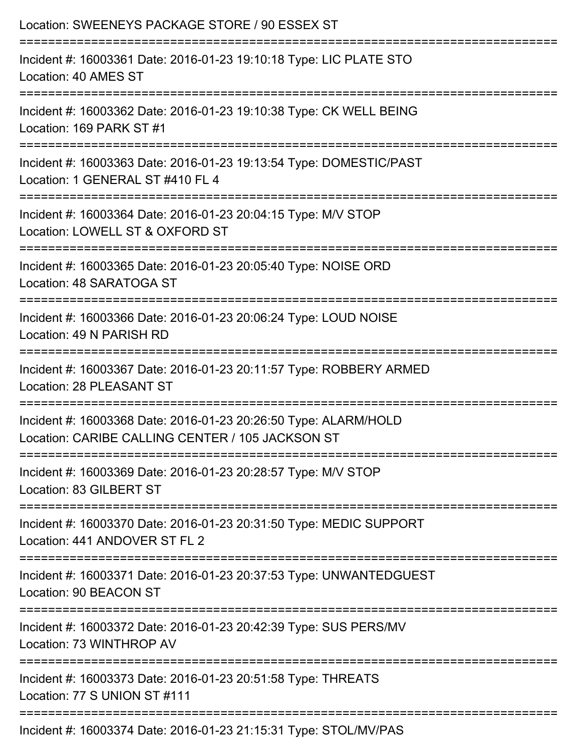| Location: SWEENEYS PACKAGE STORE / 90 ESSEX ST                                                                                    |
|-----------------------------------------------------------------------------------------------------------------------------------|
| Incident #: 16003361 Date: 2016-01-23 19:10:18 Type: LIC PLATE STO<br>Location: 40 AMES ST                                        |
| Incident #: 16003362 Date: 2016-01-23 19:10:38 Type: CK WELL BEING<br>Location: 169 PARK ST #1                                    |
| Incident #: 16003363 Date: 2016-01-23 19:13:54 Type: DOMESTIC/PAST<br>Location: 1 GENERAL ST #410 FL 4                            |
| =============================<br>Incident #: 16003364 Date: 2016-01-23 20:04:15 Type: M/V STOP<br>Location: LOWELL ST & OXFORD ST |
| Incident #: 16003365 Date: 2016-01-23 20:05:40 Type: NOISE ORD<br>Location: 48 SARATOGA ST                                        |
| Incident #: 16003366 Date: 2016-01-23 20:06:24 Type: LOUD NOISE<br>Location: 49 N PARISH RD                                       |
| Incident #: 16003367 Date: 2016-01-23 20:11:57 Type: ROBBERY ARMED<br>Location: 28 PLEASANT ST                                    |
| Incident #: 16003368 Date: 2016-01-23 20:26:50 Type: ALARM/HOLD<br>Location: CARIBE CALLING CENTER / 105 JACKSON ST               |
| ;====================================<br>Incident #: 16003369 Date: 2016-01-23 20:28:57 Type: M/V STOP<br>Location: 83 GILBERT ST |
| Incident #: 16003370 Date: 2016-01-23 20:31:50 Type: MEDIC SUPPORT<br>Location: 441 ANDOVER ST FL 2                               |
| Incident #: 16003371 Date: 2016-01-23 20:37:53 Type: UNWANTEDGUEST<br>Location: 90 BEACON ST                                      |
| Incident #: 16003372 Date: 2016-01-23 20:42:39 Type: SUS PERS/MV<br>Location: 73 WINTHROP AV                                      |
| Incident #: 16003373 Date: 2016-01-23 20:51:58 Type: THREATS<br>Location: 77 S UNION ST #111                                      |
| Incident #: 16003374 Date: 2016-01-23 21:15:31 Type: STOL/MV/PAS                                                                  |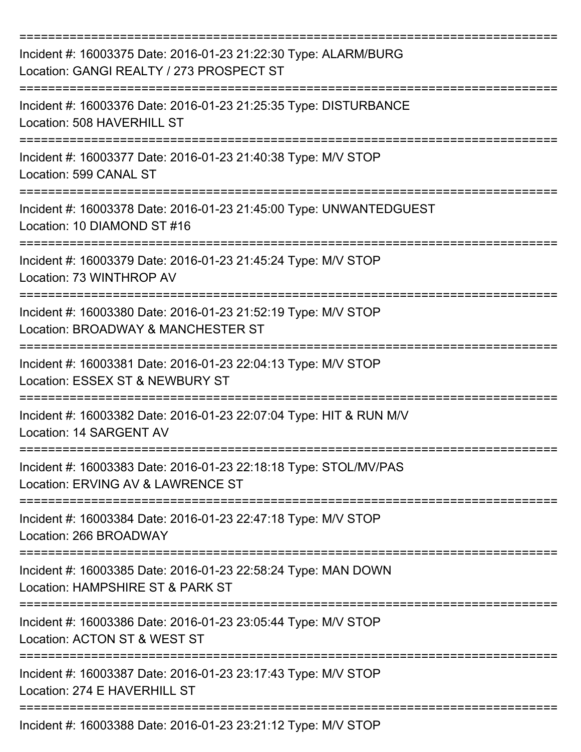| Incident #: 16003375 Date: 2016-01-23 21:22:30 Type: ALARM/BURG<br>Location: GANGI REALTY / 273 PROSPECT ST |
|-------------------------------------------------------------------------------------------------------------|
| Incident #: 16003376 Date: 2016-01-23 21:25:35 Type: DISTURBANCE<br>Location: 508 HAVERHILL ST              |
| Incident #: 16003377 Date: 2016-01-23 21:40:38 Type: M/V STOP<br>Location: 599 CANAL ST                     |
| Incident #: 16003378 Date: 2016-01-23 21:45:00 Type: UNWANTEDGUEST<br>Location: 10 DIAMOND ST #16           |
| Incident #: 16003379 Date: 2016-01-23 21:45:24 Type: M/V STOP<br>Location: 73 WINTHROP AV                   |
| Incident #: 16003380 Date: 2016-01-23 21:52:19 Type: M/V STOP<br>Location: BROADWAY & MANCHESTER ST         |
| Incident #: 16003381 Date: 2016-01-23 22:04:13 Type: M/V STOP<br>Location: ESSEX ST & NEWBURY ST            |
| Incident #: 16003382 Date: 2016-01-23 22:07:04 Type: HIT & RUN M/V<br>Location: 14 SARGENT AV               |
| Incident #: 16003383 Date: 2016-01-23 22:18:18 Type: STOL/MV/PAS<br>Location: ERVING AV & LAWRENCE ST       |
| Incident #: 16003384 Date: 2016-01-23 22:47:18 Type: M/V STOP<br>Location: 266 BROADWAY                     |
| Incident #: 16003385 Date: 2016-01-23 22:58:24 Type: MAN DOWN<br>Location: HAMPSHIRE ST & PARK ST           |
| Incident #: 16003386 Date: 2016-01-23 23:05:44 Type: M/V STOP<br>Location: ACTON ST & WEST ST               |
| Incident #: 16003387 Date: 2016-01-23 23:17:43 Type: M/V STOP<br>Location: 274 E HAVERHILL ST               |
| Incident #: 16003388 Date: 2016-01-23 23:21:12 Type: M/V STOP                                               |